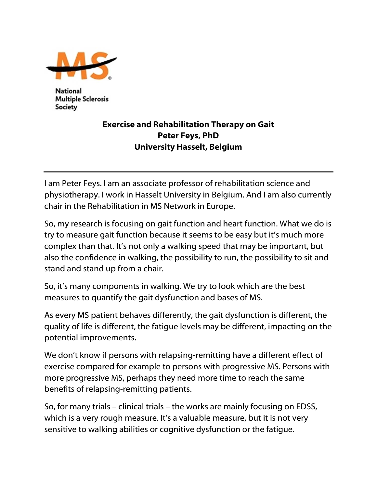

National **Multiple Sclerosis** Society

## Exercise and Rehabilitation Therapy on Gait Peter Feys, PhD University Hasselt, Belgium

I am Peter Feys. I am an associate professor of rehabilitation science and physiotherapy. I work in Hasselt University in Belgium. And I am also currently chair in the Rehabilitation in MS Network in Europe.

So, my research is focusing on gait function and heart function. What we do is try to measure gait function because it seems to be easy but it's much more complex than that. It's not only a walking speed that may be important, but also the confidence in walking, the possibility to run, the possibility to sit and stand and stand up from a chair.

So, it's many components in walking. We try to look which are the best measures to quantify the gait dysfunction and bases of MS.

As every MS patient behaves differently, the gait dysfunction is different, the quality of life is different, the fatigue levels may be different, impacting on the potential improvements.

We don't know if persons with relapsing-remitting have a different effect of exercise compared for example to persons with progressive MS. Persons with more progressive MS, perhaps they need more time to reach the same benefits of relapsing-remitting patients.

So, for many trials – clinical trials – the works are mainly focusing on EDSS, which is a very rough measure. It's a valuable measure, but it is not very sensitive to walking abilities or cognitive dysfunction or the fatigue.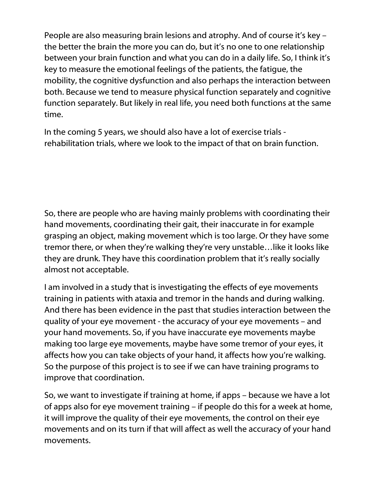People are also measuring brain lesions and atrophy. And of course it's key – the better the brain the more you can do, but it's no one to one relationship between your brain function and what you can do in a daily life. So, I think it's key to measure the emotional feelings of the patients, the fatigue, the mobility, the cognitive dysfunction and also perhaps the interaction between both. Because we tend to measure physical function separately and cognitive function separately. But likely in real life, you need both functions at the same time.

In the coming 5 years, we should also have a lot of exercise trials rehabilitation trials, where we look to the impact of that on brain function.

So, there are people who are having mainly problems with coordinating their hand movements, coordinating their gait, their inaccurate in for example grasping an object, making movement which is too large. Or they have some tremor there, or when they're walking they're very unstable…like it looks like they are drunk. They have this coordination problem that it's really socially almost not acceptable.

I am involved in a study that is investigating the effects of eye movements training in patients with ataxia and tremor in the hands and during walking. And there has been evidence in the past that studies interaction between the quality of your eye movement - the accuracy of your eye movements – and your hand movements. So, if you have inaccurate eye movements maybe making too large eye movements, maybe have some tremor of your eyes, it affects how you can take objects of your hand, it affects how you're walking. So the purpose of this project is to see if we can have training programs to improve that coordination.

So, we want to investigate if training at home, if apps – because we have a lot of apps also for eye movement training – if people do this for a week at home, it will improve the quality of their eye movements, the control on their eye movements and on its turn if that will affect as well the accuracy of your hand movements.